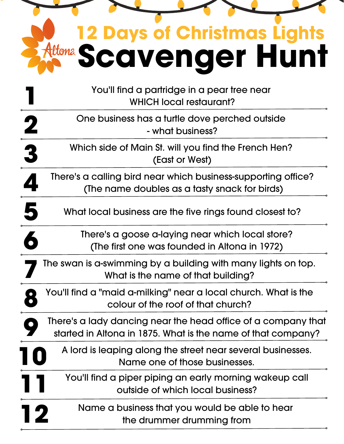| <b>12 Days of Christmas Lights</b>                                                                                            |
|-------------------------------------------------------------------------------------------------------------------------------|
| Attona Scowenger Hunt                                                                                                         |
| You'll find a partridge in a pear tree near<br><b>WHICH local restaurant?</b>                                                 |
| One business has a furtle dove perched outside<br>- what business?                                                            |
| $\frac{2}{3}$<br>Which side of Main St. will you find the French Hen?<br>(East or West)                                       |
| There's a calling bird near which business-supporting office?<br>(The name doubles as a tasty snack for birds)                |
| 5<br>What local business are the five rings found closest to?                                                                 |
| There's a goose a-laying near which local store?<br>(The first one was founded in Altona in 1972)                             |
| The swan is a-swimming by a building with many lights on top.<br>What is the name of that building?                           |
| You'll find a "maid a-milking" near a local church. What is the<br>colour of the roof of that church?                         |
| There's a lady dancing near the head office of a company that<br>started in Altona in 1875. What is the name of that company? |
| A lord is leaping along the street near several businesses.<br>Name one of those businesses.                                  |
| You'll find a piper piping an early morning wakeup call<br>outside of which local business?                                   |
| Name a business that you would be able to hear<br>the drummer drumming from                                                   |